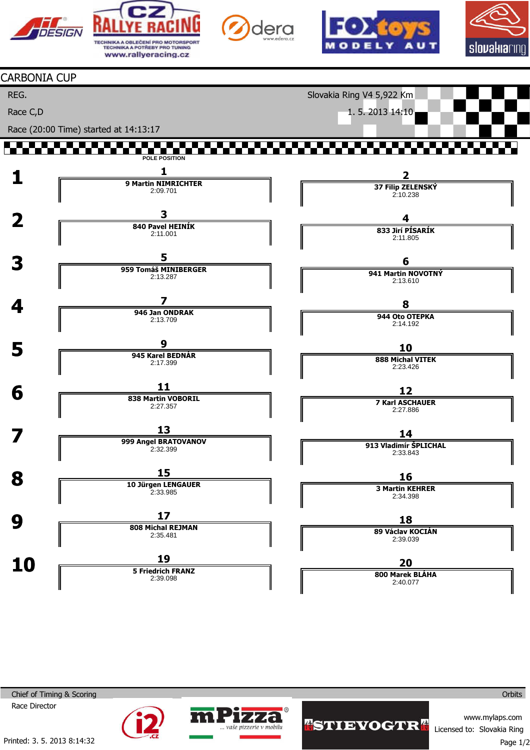



2:11.001

2:13.287

946 Jan ONDRAK 2:13.709

945 Karel BEDNÁR 2:17.399

838 Martin VOBORIL 2:27.357

2:32.399

10 Jürgen LENGAUER 2:33.985

808 Michal REJMAN 2:35.481

5 Friedrich FRANZ 2:39.098

aše pizzerie v mobilu

**3**<br>3959 Tomáš MINIBERGER

 $\frac{7}{4}$ 

 $\overline{5}$  945 Karel

 $\overline{6}$   $\overline{11}$   $\overline{138 \text{ Martin}}$ 

 $\overline{8}$  15

 $9 \frac{17}{\sqrt{11}}$ 

 $\overline{\mathbf{10}}$   $\overline{\mathbf{19}}$ 

**13**<br>
999 Angel BRATOVANOV







#### CARBONIA CUP

REG.

Race C,D

Slovakia Ring V4 5,922 Km

1. 5. 2013 14:10 Race (20:00 Time) started at 14:13:17 77.77 **POLE POSITION**  $\frac{1}{\sqrt{1-\frac{9 \text{ Martin NIMRICHTER}}{9 \text{ Martin NIMRICHTER}}}}$ 2 37 Filip ZELENSKÝ 2:09.701 2:10.238  $\frac{3}{\sqrt{2}}$ 4 840 Pavel HEINÍK

833 Jirí PÍSARÍK 2:11.805



2:13.610

#### 8 944 Oto OTEPKA

2:14.192

# 10

888 Michal VITEK 2:23.426

# 12

7 Karl ASCHAUER 2:27.886

# 14

913 Vladimír ŠPLICHAL 2:33.843

16

3 Martin KEHRER 2:34.398

# 18

89 Václav KOCIÁN 2:39.039

## 20

800 Marek BLÁHA 2:40.077

Chief of Timing & Scoring

Race Director



www.mylaps.com Licensed to: Slovakia Ring

**Orbits**